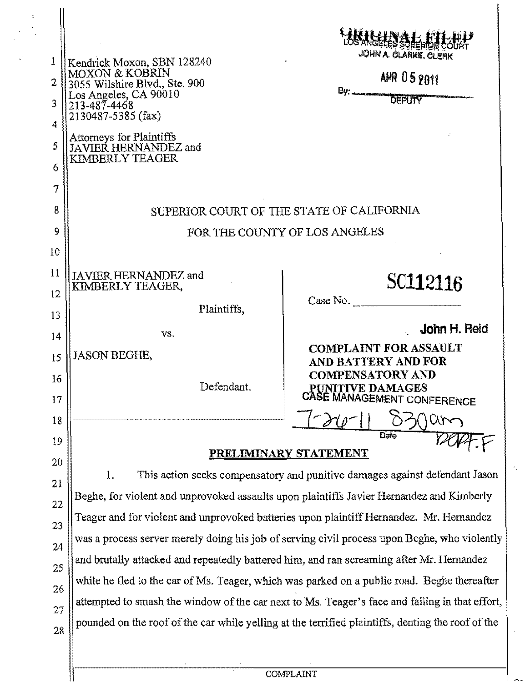| 1<br>$\overline{2}$<br>3<br>4<br>5<br>6<br>7<br>8<br>9                                 | Kendrick Moxon, SBN 128240<br>MOXON & KOBRIN<br>3055 Wilshire Blvd., Ste. 900<br>Los Angeles, CA 90010<br>213-487-4468<br>2130487-5385 (fax)<br><b>Attomeys for Plaintiffs</b><br>JAVIER HERNANDEZ and<br><b>KIMBERLY TEAGER</b>                                                                         | JOHN A. CLARKE. CLERK<br><b>APR 05 2011</b><br>By: DEPUTY<br>SUPERIOR COURT OF THE STATE OF CALIFORNIA<br>FOR THE COUNTY OF LOS ANGELES                                                                                                                                                                                                                                                                                                                                 |
|----------------------------------------------------------------------------------------|----------------------------------------------------------------------------------------------------------------------------------------------------------------------------------------------------------------------------------------------------------------------------------------------------------|-------------------------------------------------------------------------------------------------------------------------------------------------------------------------------------------------------------------------------------------------------------------------------------------------------------------------------------------------------------------------------------------------------------------------------------------------------------------------|
| 10                                                                                     |                                                                                                                                                                                                                                                                                                          |                                                                                                                                                                                                                                                                                                                                                                                                                                                                         |
| 11<br>12<br>13<br>14<br>15<br>16<br>17<br>18<br>19<br>20<br>21<br>22<br>23<br>24<br>25 | <b>JAVIER HERNANDEZ</b> and<br>KIMBERLY TEAGER,<br>Plaintiffs.<br>VS.<br><b>JASON BEGHE,</b><br>Defendant.<br>1.<br>Beghe, for violent and unprovoked assaults upon plaintiffs Javier Hernandez and Kimberly<br>and brutally attacked and repeatedly battered him, and ran screaming after Mr. Hernandez | SC112116<br>John H. Reid<br><b>COMPLAINT FOR ASSAULT</b><br>AND BATTERY AND FOR<br><b>COMPENSATORY AND</b><br>PUNITIVE DAMAGES<br>CASE MANAGEMENT CONFERENCE<br>Date<br>PRELIMINARY STATEMENT<br>This action seeks compensatory and punitive damages against defendant Jason<br>Teager and for violent and unprovoked batteries upon plaintiff Hernandez. Mr. Hernandez<br>was a process server merely doing his job of serving civil process upon Beghe, who violently |
| 26<br>27<br>28                                                                         |                                                                                                                                                                                                                                                                                                          | while he fled to the car of Ms. Teager, which was parked on a public road. Beghe thereafter<br>attempted to smash the window of the car next to Ms. Teager's face and failing in that effort,<br>pounded on the roof of the car while yelling at the terrified plaintiffs, denting the roof of the                                                                                                                                                                      |
|                                                                                        |                                                                                                                                                                                                                                                                                                          |                                                                                                                                                                                                                                                                                                                                                                                                                                                                         |

 $\frac{1}{\pi}$ 

 $\parallel$ 

COMPLAINT

 $\epsilon_{\star}$ 

 $\ddot{\phantom{a}}$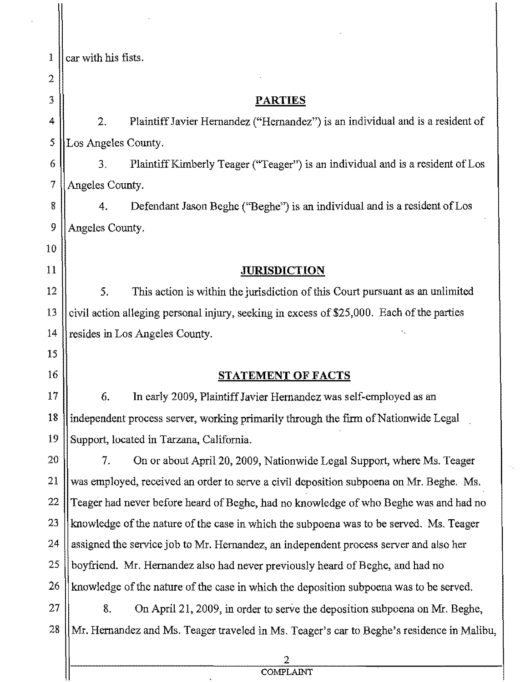| 1              | car with his fists.                                                                       |
|----------------|-------------------------------------------------------------------------------------------|
| $\overline{2}$ |                                                                                           |
| 3              | <b>PARTIES</b>                                                                            |
| 4              | 2.<br>Plaintiff Javier Hernandez ("Hernandez") is an individual and is a resident of      |
| 5              | Los Angeles County.                                                                       |
| 6              | Plaintiff Kimberly Teager ("Teager") is an individual and is a resident of Los<br>3.      |
| 7              | Angeles County.                                                                           |
| 8              | Defendant Jason Beghe ("Beghe") is an individual and is a resident of Los<br>4.           |
| 9              | Angeles County.                                                                           |
| 10             |                                                                                           |
| 11             | <b>JURISDICTION</b>                                                                       |
| 12             | 5.<br>This action is within the jurisdiction of this Court pursuant as an unlimited       |
| 13             | civil action alleging personal injury, seeking in excess of \$25,000. Each of the parties |
| 14             | resides in Los Angeles County.                                                            |
| 15             |                                                                                           |
| 16             | <b>STATEMENT OF FACTS</b>                                                                 |
| 17             | 6.<br>In early 2009, Plaintiff Javier Hernandez was self-employed as an                   |
| 18             | independent process server, working primarily through the firm of Nationwide Legal        |
| 19             | Support, located in Tarzana, California.                                                  |
| 20             | On or about April 20, 2009, Nationwide Legal Support, where Ms. Teager<br>7.              |
| 21             | was employed, received an order to serve a civil deposition subpoena on Mr. Beghe. Ms.    |
| 22             | Teager had never before heard of Beghe, had no knowledge of who Beghe was and had no      |
| 23             | knowledge of the nature of the case in which the subpoena was to be served. Ms. Teager    |
| 24             | assigned the service job to Mr. Hernandez, an independent process server and also her     |
| 25             | boyfriend. Mr. Hernandez also had never previously heard of Beghe, and had no             |
| 26             | knowledge of the nature of the case in which the deposition subpoena was to be served.    |
| 27             | 8.<br>On April 21, 2009, in order to serve the deposition subpoena on Mr. Beghe,          |
| 28             | Mr. Hernandez and Ms. Teager traveled in Ms. Teager's car to Beghe's residence in Malibu, |
|                |                                                                                           |

2 COMPLAINT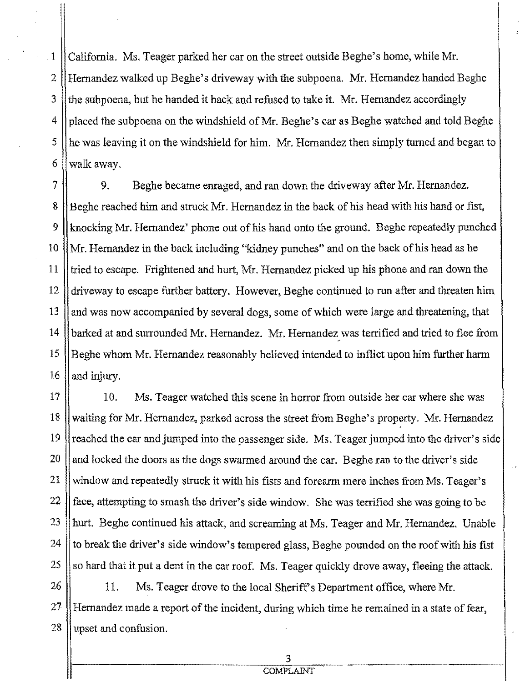$1$  || California. Ms. Teager parked her car on the street outside Beghe's home, while Mr. 2 Hernandez walked up Beghe's driveway with the subpoena. Mr. Hernandez handed Beghe 3 the subpoena, but he handed it back and refused to take it. Mr. Hernandez accordingly 4 placed the subpoena on the windshield of Mr. Beghe's car as Beghe watched and told Beghe 5 he was leaving it on the windshield for him. Mr. Hernandez then simply turned and began to 6 || walk away.

7 9. Beghe became enraged, and ran down the driveway after Mr. Hernandez. 8 || Beghe reached him and struck Mr. Hernandez in the back of his head with his hand or fist, 9 || knocking Mr. Hernandez' phone out of his hand onto the ground. Beghe repeatedly punched 10 || Mr. Hernandez in the back including "kidney punches" and on the back of his head as he 11 tried to escape. Frightened and hurt, Mr. Hernandez picked up his phone and ran down the 12 driveway to escape further battery. However, Beghe continued to run after and threaten him 13 || and was now accompanied by several dogs, some of which were large and threatening, that 14 barked at and surrounded Mr. Hernandez. Mr. Hernandez was terrified and tried to flee from 15 Beghe whom Mr. Hernandez reasonably believed intended to inflict upon him further harm  $16$  || and injury.

17 10. Ms. Teager watched this scene in horror from outside her car where she was 18 waiting for Mr. Hernandez, parked across the street from Beghe's property. Mr. Hernandez 19 || reached the car and jumped into the passenger side. Ms. Teager jumped into the driver's side  $20$  || and locked the doors as the dogs swarmed around the car. Beghe ran to the driver's side 21 | window and repeatedly struck it with his fists and forearm mere inches from Ms. Teager's 22 || face, attempting to smash the driver's side window. She was terrified she was going to be 23 || hurt. Beghe continued his attack, and screaming at Ms. Teager and Mr. Hernandez. Unable  $24$  || to break the driver's side window's tempered glass, Beghe pounded on the roof with his fist 25  $\parallel$  so hard that it put a dent in the car roof. Ms. Teager quickly drove away, fleeing the attack.

 $26$  || 11. Ms. Teager drove to the local Sheriff's Department office, where Mr. 27 Hernandez made a report of the incident, during which time he remained in a state of fear,  $28$  || upset and confusion.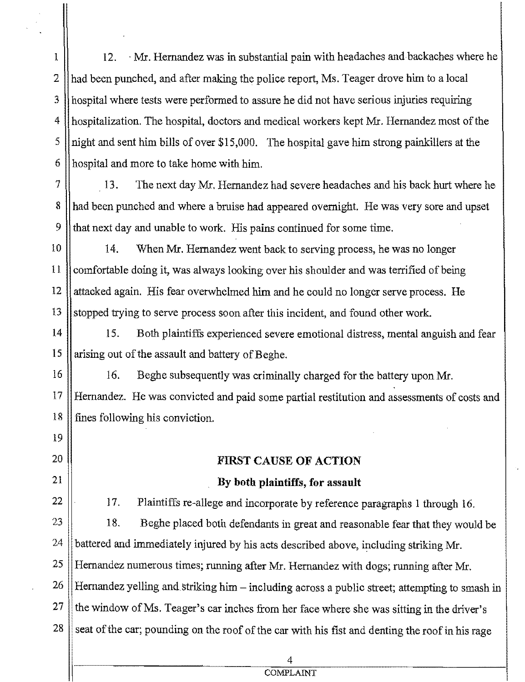1 | 12. Mr. Hernandez was in substantial pain with headaches and backaches where he 2 had been punched, and after making the police report, Ms. Teager drove him to a local 3 hospital where tests were performed to assure he did not havc serious injuries requiring 4 hospitalization. The hospital, doctors and medical workers kept Mr. Hernandez most of the  $\frac{5}{1}$  lnight and sent him bills of over \$15,000. The hospital gave him strong painkillers at the 6 hospital and more to take home with him.

7 13. The next day Mr. Hernandez had severe headaches and his back hurt where he 8 | had been punched and where a bruise had appeared overnight. He was very sore and upset 9 || that next day and unable to work. His pains continued for some time.

10 14. When Mr. Hernandez went back to serving process, he was no longer 11 Comfortable doing it, was always looking over his shoulder and was terrified of being 12 || attacked again. His fear overwhelmed him and he could no longer serve process. He 13 Supped trying to serve process soon after this incident, and found other work.

14 15. Both plaintifiS experienced severe emotional distress, mental anguish and fear 15  $\parallel$  arising out of the assault and battery of Beghe.

16 || 16. Beghe subsequently was criminally charged for the battery upon Mr. 17 Hernandez. He was convicted and paid some partial restitution and assessments of costs and 18 fines following his conviction.

19

20

21

## FIRST CAUSE OF ACTION

# By both plaintiffs, for assault

22  $\|\cdot\|$  17. Plaintiffs re-allege and incorporate by reference paragraphs 1 through 16.

23 | 18. Beghe placed both defendants in great and reasonable fear that they would be 24 || battered and immediately injured by his acts described above, including striking Mr. 25 || Hernandez numerous times; running after Mr. Hernandez with dogs; running after Mr.  $26$  ||Hernandez yelling and striking him – including across a public street; attempting to smash in  $27$  || the window of Ms. Teager's car inches from her face where she was sitting in the driver's  $28$  seat of the car; pounding on the roof of the car with his fist and denting the roof in his rage

4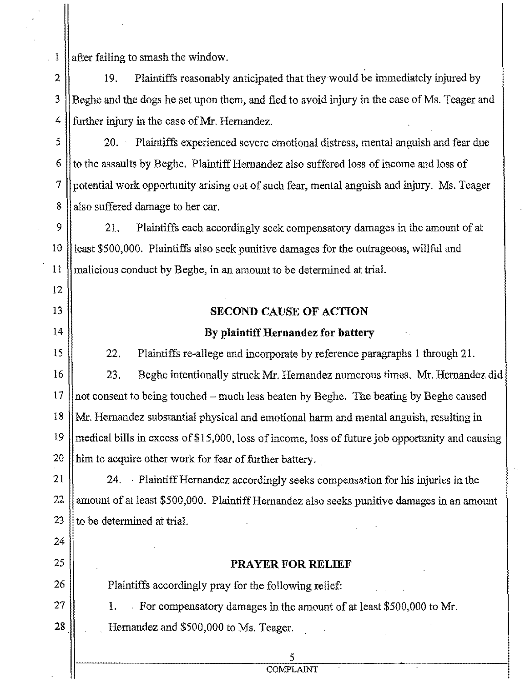1 || after failing to smash the window.

12

24

2 || 19. Plaintiffs reasonably anticipated that they would be immediately injured by 3 Beghe and the dogs he set upon them, and fled to avoid injury in the case of Ms. Teager and 4 further injury in the case of Mr. Hernandez.

5 20. Plaintiffs eXperienced severe emotional distress, mental anguish and fear due 6 to the assaults by Beghe. Plaintiff Hernandez also suffered loss of income and loss of 7 potential work opportunity arising out of such fear, mental anguish and injury. Ms. Teager 8 also suffered damage to her car.

9 21. Plaintiffs each accordingly seek compensatory damages in the amount of at 10 least \$500,000. Plaintiffs also seek punitive damages for the outrageous, willful and 11 malicious conduct by Beghe, in an amount to be determined at trial.

#### 13 || SECOND CAUSE OF ACTION

### 14 || By plaintiff Hernandez for battery

15 22. Plaintiffs re-allege and incorporate by reference paragraphs 1 through 21. 16 23. Beghe intentionally struck Mr. Hernandez numerous times. Mr. Hernandez did 17 || not consent to being touched  $-$  much less beaten by Beghe. The beating by Beghe caused 18 Mr. Hernandez substantial physical and emotional harm and mental anguish, resulting in 19 medical bills in excess of\$15,000, loss of income, loss of future job opportunity and causing 20  $\|\lim$  to acquire other work for fear of further battery.

21 24. . Plaintiff Hernandez accordingly seeks compensation for his injuries in the 22 || amount of at least \$500,000. Plaintiff Hernandez also seeks punitive damages in an amount 23  $\parallel$  to be determined at trial.

## 25 || PRAYER FOR RELIEF

26 | Plaintiffs accordingly pray for the following relief:

27 | 1. For compensatory damages in the amount of at least \$500,000 to Mr. 28 **Hernandez and \$500,000 to Ms. Teager.** 

> 5 COMPLAINT